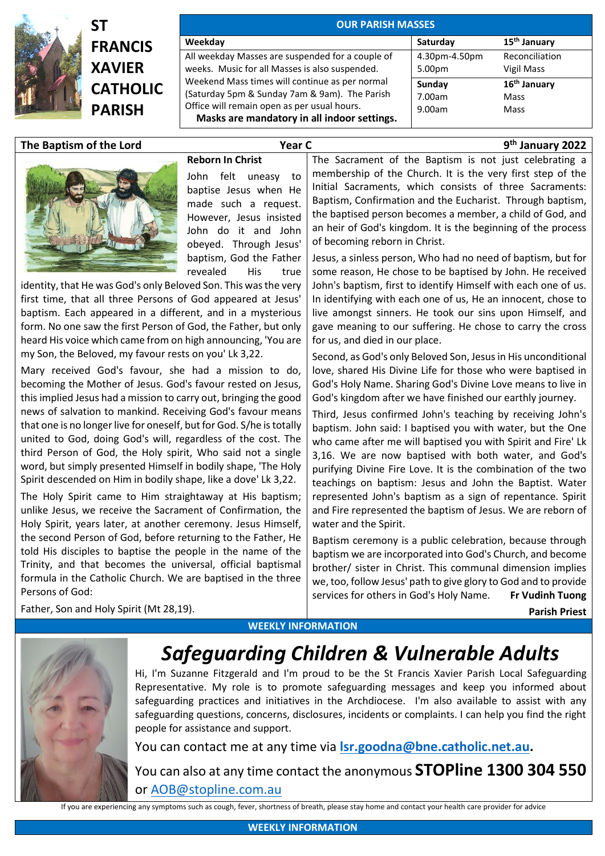

## **ST FRANCIS XAVIER CATHOL PARISH**

| <b>OUR PARISH MASSES</b>                         |               |                          |
|--------------------------------------------------|---------------|--------------------------|
| Weekday                                          | Saturday      | 15 <sup>th</sup> January |
| All weekday Masses are suspended for a couple of | 4.30pm-4.50pm | Reconciliation           |
| weeks. Music for all Masses is also suspended.   | 5.00pm        | Vigil Mass               |
| Weekend Mass times will continue as per normal   | Sunday        | 16 <sup>th</sup> January |
| (Saturday 5pm & Sunday 7am & 9am). The Parish    | 7.00am        | Mass                     |
| Office will remain open as per usual hours.      | 9.00am        | Mass                     |
| Masks are mandatory in all indoor settings.      |               |                          |

## **The Baptism of the Lord Year C 9**

**th January 2022**



**Reborn In Christ** John felt uneasy to baptise Jesus when He made such a request. However, Jesus insisted John do it and John obeyed. Through Jesus' baptism, God the Father revealed His true

identity, that He was God's only Beloved Son. This was the very first time, that all three Persons of God appeared at Jesus' baptism. Each appeared in a different, and in a mysterious form. No one saw the first Person of God, the Father, but only heard His voice which came from on high announcing, 'You are my Son, the Beloved, my favour rests on you' Lk 3,22.

Mary received God's favour, she had a mission to do, becoming the Mother of Jesus. God's favour rested on Jesus, this implied Jesus had a mission to carry out, bringing the good news of salvation to mankind. Receiving God's favour means that one is no longer live for oneself, but for God. S/he is totally united to God, doing God's will, regardless of the cost. The third Person of God, the Holy spirit, Who said not a single word, but simply presented Himself in bodily shape, 'The Holy Spirit descended on Him in bodily shape, like a dove' Lk 3,22.

The Holy Spirit came to Him straightaway at His baptism; unlike Jesus, we receive the Sacrament of Confirmation, the Holy Spirit, years later, at another ceremony. Jesus Himself, the second Person of God, before returning to the Father, He told His disciples to baptise the people in the name of the Trinity, and that becomes the universal, official baptismal formula in the Catholic Church. We are baptised in the three Persons of God:

The Sacrament of the Baptism is not just celebrating a membership of the Church. It is the very first step of the Initial Sacraments, which consists of three Sacraments: Baptism, Confirmation and the Eucharist. Through baptism, the baptised person becomes a member, a child of God, and an heir of God's kingdom. It is the beginning of the process of becoming reborn in Christ.

Jesus, a sinless person, Who had no need of baptism, but for some reason, He chose to be baptised by John. He received John's baptism, first to identify Himself with each one of us. In identifying with each one of us, He an innocent, chose to live amongst sinners. He took our sins upon Himself, and gave meaning to our suffering. He chose to carry the cross for us, and died in our place.

Second, as God's only Beloved Son, Jesus in His unconditional love, shared His Divine Life for those who were baptised in God's Holy Name. Sharing God's Divine Love means to live in God's kingdom after we have finished our earthly journey.

Third, Jesus confirmed John's teaching by receiving John's baptism. John said: I baptised you with water, but the One who came after me will baptised you with Spirit and Fire' Lk 3,16. We are now baptised with both water, and God's purifying Divine Fire Love. It is the combination of the two teachings on baptism: Jesus and John the Baptist. Water represented John's baptism as a sign of repentance. Spirit and Fire represented the baptism of Jesus. We are reborn of water and the Spirit.

Baptism ceremony is a public celebration, because through baptism we are incorporated into God's Church, and become brother/ sister in Christ. This communal dimension implies we, too, follow Jesus' path to give glory to God and to provide services for others in God's Holy Name. **Fr Vudinh Tuong**

 **Parish Priest**



## **WEEKLY INFORMATION**



## *Safeguarding Children & Vulnerable Adults*

Hi, I'm Suzanne Fitzgerald and I'm proud to be the St Francis Xavier Parish Local Safeguarding Representative. My role is to promote safeguarding messages and keep you informed about safeguarding practices and initiatives in the Archdiocese. I'm also available to assist with any safeguarding questions, concerns, disclosures, incidents or complaints. I can help you find the right people for assistance and support.

You can contact me at any time via **[lsr.goodna@bne.catholic.net.au.](mailto:lsr.goodna@bne.catholic.net.au)**

You can also at any time contact the anonymous **STOPline 1300 304 550** or [AOB@stopline.com.au](mailto:AOB@stopline.com.au)

If you are experiencing any symptoms such as cough, fever, shortness of breath, please stay home and contact your health care provider for advice